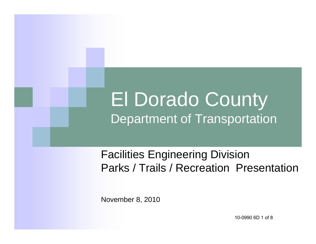# El Dorado County Department of Transportation

### Facilities Engineering Division Parks / Trails / Recreation Presentation

November 8, 2010

10-0990 6D 1 of 8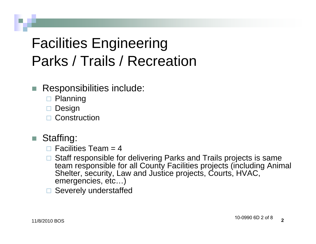## Facilities Engineering Parks / Trails / Recreation

- Responsibilities include:
	- **□ Planning**
	- $\square$  Design
	- □ Construction
- Staffing:
	- $\Box$  Facilities Team = 4
	- □ Staff responsible for delivering Parks and Trails projects is same team responsible for all County Facilities projects (including Animal Shelter, security, Law and Justice projects, Courts, HVAC, emergencies, etc…)
	- □ Severely understaffed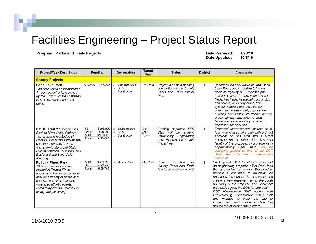#### **Program: Parks and Trails Projects**

**Date Prepared:** 1/28/10 **Date Updated:** 10/6/10

| <b>Project/Task Description</b>                                                                                                                                                                                                                                                    |                               | <b>Funding</b>                                  |                         | <b>Deliverables</b>                         | <b>Target</b><br>Date | <b>Status</b>                                                                                                             | <b>District</b> | <b>Comments</b>                                                                                                                                                                                                                                                                                                                                                                                                                                                                                                                                  |
|------------------------------------------------------------------------------------------------------------------------------------------------------------------------------------------------------------------------------------------------------------------------------------|-------------------------------|-------------------------------------------------|-------------------------|---------------------------------------------|-----------------------|---------------------------------------------------------------------------------------------------------------------------|-----------------|--------------------------------------------------------------------------------------------------------------------------------------------------------------------------------------------------------------------------------------------------------------------------------------------------------------------------------------------------------------------------------------------------------------------------------------------------------------------------------------------------------------------------------------------------|
| <b>County Projects</b>                                                                                                                                                                                                                                                             |                               |                                                 |                         |                                             |                       |                                                                                                                           |                 |                                                                                                                                                                                                                                                                                                                                                                                                                                                                                                                                                  |
| <b>Bass Lake Park</b><br>The park would be located on a<br>41-acre parcel of land owned<br>by the County, located between<br>Bass Lake Road and Bass<br>Lake.                                                                                                                      | GF/ACO:                       | \$67,000                                        | $\circ$<br>ö<br>$\circ$ | Complete DEIR<br>PS&E<br>Construction       | On Hold               | Project is on hold pending<br>completion of the County<br>Parks and Trails Master<br>Plan                                 |                 | Access to the park would be from Bass<br>Lake Road, approximately 2.5 miles<br>north of Highway 50 Proposed park<br>facilities include: turf areas and soccer<br>fields; ball fields, basketball courts, disc<br>golf course, child play areas, trail<br>system, nature interpretive center,<br>community meeting hall, concession<br>building, picnic areas, restrooms, parking<br>areas, lighting, maintenance area,<br>landscaping and ancillary facilities<br>necessary for park use.                                                        |
| SMUD Trail (El Dorado Hills<br>Blvd. to Silva Valley Parkway)<br>The project is located in El<br>Dorado Hills within a power line<br>easement operated by the<br>Sacramento Municipal Utility<br>District between El Dorado Hills<br><b>Boulevard and Silva Valley</b><br>Parkway. | TE:<br>DMV:<br>ACO:<br>Total: | \$295,000<br>\$25,000<br>\$100,000<br>\$420,000 | $\circ$                 | Environmental<br>$O$ PS&E<br>O Construction | 2/11<br>9/11<br>07/12 | Funding approved FED<br>Staff will be starting<br>Preliminary Engineering<br>and Environmental this<br><b>Fiscal Year</b> | 1               | Proposed improvements include an 8-<br>foot wide Class I bike path with a 2-foot<br>shoulder on one side and a 4-foot<br>shoulder on the other side. The total<br>length of the proposed improvements is<br>approximately 3,000 feet.<br>Will be<br>assigning project to one of our DOT<br>design teams for them to design and<br>construct.                                                                                                                                                                                                     |
| <b>Pollock Pines Park</b><br>26 acre undeveloped site<br>located in Pollock Pines.<br>Facilities to be developed would<br>provide a variety of active and<br>passive recreation including<br>organized athletic events,<br>community events, recreation,<br>hiking and picnicking  | ACO:<br>GF:<br>Total:         | \$366,750<br>\$272,956<br>\$639,706             | $\circ$                 | Master Plan                                 | On Hold               | hold<br>for<br>Project<br>on<br>County Parks and Trails<br>Master Plan development                                        | $\overline{2}$  | Working with DOT to relocate easement<br>on neighboring property, off of Red Hook<br>that is needed for access. We need to<br>prepare a document to quitclaim the<br>undefined location of the easement and<br>create a new easement along the south<br>boundary of the property. This document<br>will need to go to the BOS for approval.<br>DOT Maintenance Staff working with<br>Growlersburg Conservation Camp staff<br>inmates to clear the site of<br>and<br>Undergrowth and create a clear trail<br>around the exterior of the property. |

 $\mathbf{1}$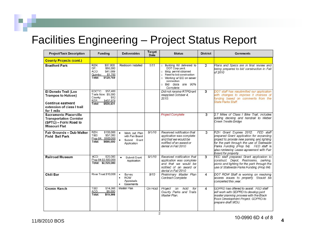| <b>Project/Task Description</b>                                                                                           | <b>Funding</b>                                                                                           | <b>Deliverables</b>                                                                       | <b>Target</b><br>Date | <b>Status</b>                                                                                                                                                                                                                    | <b>District</b> | <b>Comments</b>                                                                                                                                                                                                                                                                                |
|---------------------------------------------------------------------------------------------------------------------------|----------------------------------------------------------------------------------------------------------|-------------------------------------------------------------------------------------------|-----------------------|----------------------------------------------------------------------------------------------------------------------------------------------------------------------------------------------------------------------------------|-----------------|------------------------------------------------------------------------------------------------------------------------------------------------------------------------------------------------------------------------------------------------------------------------------------------------|
| <b>County Projects (cont.)</b>                                                                                            |                                                                                                          |                                                                                           |                       |                                                                                                                                                                                                                                  |                 |                                                                                                                                                                                                                                                                                                |
| <b>Bradford Park</b>                                                                                                      | \$37,000<br>RZH:<br>GF:<br>\$50,000<br>\$41,069<br>ACO:<br>\$1,700<br>Quimby:<br>\$129,769<br>Total:     | Restroom Installed                                                                        | 1/11                  | Building Kit delivered to<br>$\circ$<br>DOT Corp vard.<br>Bldg. permit obtained<br>$\circ$<br>Need to bid construction<br>$\circ$<br>Working w/ EID on sewer<br>$\circ$<br>connection<br>Bid docs are 90%<br>$\circ$<br>Complete | $\overline{2}$  | Plans and Specs are in final review and<br>being prepared to bid construction in Fall<br>of 2010                                                                                                                                                                                               |
| El Dorado Trail (Los<br><b>Trampos to Halcon)</b><br><b>Continue eastward</b><br>extension of class I trail<br>for 1 mile | EDCTC:<br>\$57,400<br>Trails Now. \$5,000<br>\$52<br>County:<br>RTP:<br>\$457,979<br>\$520,431<br>Total: |                                                                                           |                       | Did not receive RTPGrant<br>reapplied October 4,<br>2010.                                                                                                                                                                        | $\overline{3}$  | DOT staff has resubmitted our application<br>with changes to improve it chances of<br>funding based on comments from the<br><b>State Parks Staff.</b>                                                                                                                                          |
| <b>Sacramento Placerville</b><br><b>Transportation Corridor</b><br>(SPTC) - Forni Road to<br><b>Missouri Flat</b>         |                                                                                                          |                                                                                           |                       | <b>Project Complete</b>                                                                                                                                                                                                          | 3               | 2.7 Miles of Class I Bike Trail, includes<br>adding decking and handrail to Weber<br><b>Creek Trestle Bridge</b>                                                                                                                                                                               |
| Fair Grounds - Dub Walker<br><b>Field Ball Park</b>                                                                       | \$133,000<br>RZH:<br>\$57,000<br>TBD:<br>Prop 84: \$500,000<br>Total:<br>\$690,000                       | Work out Plan<br>$\bullet$<br>with Fair Board<br>Submit Grant<br>$\bullet$<br>Application | 9/1/10                | Received notification that<br>application was complete<br>and that we would be<br>notified of an award or<br>denial in Fall 2010                                                                                                 | 3               | RZH Grant Expires 2012.<br>FED staff<br>prepared Grant application for expanding<br>project to provide new parking and lighting<br>for the park through the use of Statewide<br>Parks Funding (Prop 84). FED staff is<br>also reviewing Lease agreement with Fair<br><b>Board for property</b> |
| <b>Railroad Museum</b>                                                                                                    | ACO:<br>\$20,000<br>Prop 84:\$2,500,000<br>Total: \$2,520,000                                            | Submit Grant<br>٠<br>Application                                                          | 9/1/10                | Received notification that<br>application was complete<br>and that we would be<br>notified of an award or<br>denial in Fall 2010                                                                                                 | $\overline{3}$  | FED staff prepared Grant application to<br>construct, Depot, Restrooms, parking,<br>picnic and lighting for the park through the<br>use of Statewide Parks Funding (Prop 84).                                                                                                                  |
| Chili Bar                                                                                                                 | River Trust:\$10,000                                                                                     | Survey<br><b>ROW</b><br>$\bullet$<br>Appraisals<br>Easements<br>$\bullet$                 | 9/10                  | Preliminary Master Plan<br><b>Contract Complete</b>                                                                                                                                                                              | $\overline{4}$  | DOT ROW Staff is working on resolving<br>access issues to property. Should be<br>completed this year.                                                                                                                                                                                          |
| <b>Cronin Ranch</b>                                                                                                       | \$14,366<br>TBD:<br>\$5,000<br>ACO:<br>Total:<br>\$19,366                                                | Master Plan                                                                               | On Hold               | Project<br>hold<br>for<br>on<br>County Parks and Trails<br>Master Plan.                                                                                                                                                          | 4               | GDPRD has offered to assist. FED staff<br>will work with GDPRD to develop joint<br>master planning process with the Black<br>Rock Development Project. GDPRD to<br>prepare draft MOU.                                                                                                          |

 $\overline{2}$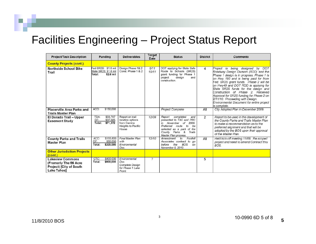| <b>Project/Task Description</b>                                                                   | <b>Funding</b>                                                     | <b>Deliverables</b>                                                               | <b>Target</b><br><b>Date</b> | <b>Status</b>                                                                                                                                                                                              | <b>District</b> | <b>Comments</b>                                                                                                                                                                                                                                                                                                                                                                                                                                                            |
|---------------------------------------------------------------------------------------------------|--------------------------------------------------------------------|-----------------------------------------------------------------------------------|------------------------------|------------------------------------------------------------------------------------------------------------------------------------------------------------------------------------------------------------|-----------------|----------------------------------------------------------------------------------------------------------------------------------------------------------------------------------------------------------------------------------------------------------------------------------------------------------------------------------------------------------------------------------------------------------------------------------------------------------------------------|
| <b>County Projects (cont.)</b>                                                                    |                                                                    |                                                                                   |                              |                                                                                                                                                                                                            |                 |                                                                                                                                                                                                                                                                                                                                                                                                                                                                            |
| <b>Northside School Bike</b><br>Trail                                                             | ed SR2S: \$1.0 mil<br>State SR2S: \$1.6 mil<br>Total:<br>\$2.6 mil | Design Phase 1& 2<br>Const. Phase 1 & 2                                           | 5/11<br>10/11                | DOT applying for State Safe<br>Route to Schools (SR2S)<br>grant funding for Phase 1<br>project<br>design<br>and<br>construction.                                                                           | $\overline{4}$  | Project is being designed by DOT<br>Roadway Design Division (RDD) and the<br>Phase 1 design is in progress. Phase 1 is<br>on Hwy 193 and is being paid for from<br>Fed. SR2S grant funds. Phase 2 will be<br>on Hwy49 and DOT RDD is applying for<br>State SR2S funds for the design and<br>Construction of Phase 2. Received<br>Approval for SR2S funding for Phase 2 on<br>2/11/10. Proceeding with Design.<br>Environmental Document for entire project<br>is complete. |
| <b>Placerville Area Parks and</b><br><b>Trails Master Plan</b>                                    | \$150,000<br>ACO:                                                  |                                                                                   |                              | <b>Project Complete</b>                                                                                                                                                                                    | All             | City Adopted Plan in December 2009.                                                                                                                                                                                                                                                                                                                                                                                                                                        |
| El Dorado Trail - Upper<br><b>Easement Study</b>                                                  | \$33,787<br>TDA:<br>GF:<br>\$37,585<br>Total:<br>\$71,372          | Report on trail<br>location options<br>from Camino<br>Heights to Pacific<br>House | 12/09                        | completed<br>Report<br>and<br>presented to TAC and PRC<br>November<br>of<br>2009.<br>in<br>Preferred<br>to<br>route<br>be<br>selected as a park of the<br>County Parks &<br>Trails<br>Master Plan process. | 2               | Report to be used in the development of<br>the County Parks and Trails Master Plan<br>to make a recommendation as to the<br>preferred alignment and that will be<br>adopted by the BOS upon their approval<br>of the Master Plan.                                                                                                                                                                                                                                          |
| <b>County Parks and Trails</b><br><b>Master Plan</b>                                              | \$155,800<br>ACO:<br>GF:<br>\$50,000<br>\$205,580<br>Total:        | <b>Final Master Plan</b><br>with<br>Environmental<br>Doc.                         | 12/10                        | Foothill<br>Amendment<br>to<br>Associates contract to go<br>the<br><b>BOS</b><br>before<br>on<br>November 8, 2010.                                                                                         | All             | Held kick-off meeting 11/09. Re-scoped<br>project and need to amend Contract thru<br>BOS.                                                                                                                                                                                                                                                                                                                                                                                  |
| <b>Other Jurisdiction Projects</b><br>(cont.)                                                     |                                                                    |                                                                                   |                              |                                                                                                                                                                                                            |                 |                                                                                                                                                                                                                                                                                                                                                                                                                                                                            |
| <b>Lakeview Commons</b><br>(Fromerly The 56 Acre<br>Project) [City of South<br><b>Lake Tahoel</b> | CTC:<br>\$800,000<br>Total:<br>\$800,000                           | Environmental<br>Doc.<br><b>Complete Design</b><br>for Phase 1 Lake<br>Front.     | $\boldsymbol{\mathcal{P}}$   |                                                                                                                                                                                                            | 5               |                                                                                                                                                                                                                                                                                                                                                                                                                                                                            |

3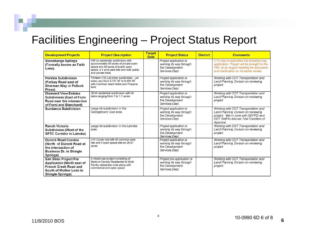| <b>Development Projects</b>                                                                                                                             | <b>Project Description</b>                                                                                                                                                              | <b>Target</b><br><b>Date</b> | <b>Project Status</b>                                                                      | <b>District</b> | <b>Comments</b>                                                                                                                                                               |
|---------------------------------------------------------------------------------------------------------------------------------------------------------|-----------------------------------------------------------------------------------------------------------------------------------------------------------------------------------------|------------------------------|--------------------------------------------------------------------------------------------|-----------------|-------------------------------------------------------------------------------------------------------------------------------------------------------------------------------|
| <b>Stonehenge Springs</b><br>(Formally known as Faith<br>Lane).                                                                                         | 349 lot residential subdivision with<br>approximately 65 acres of private open<br>space and 60 acres of public open<br>space, a 5 acre park site and both public<br>and private trails. |                              | Project application is<br>working its way through<br>the Development<br>Services Dept.     |                 | CTA has re-submitted the tentative map<br>application. Project will be brought to the<br>PRC at its August meeting for discussion<br>and clarification on its earlier review. |
| <b>Perkins Subdivision</b><br>(Forbay Road east of<br>Sherman Way in Pollock<br>Pines)                                                                  | Thirteen (13) Lot minor subdivision. Lot<br>sizes vary from 2,737 SF to 6,464 SF<br>with Common leach fields and Propane<br>tank.                                                       |                              | Project application is<br>working its way through<br>the Development<br>Services Dept.     |                 | Working with DOT Transportation and<br>Land Planning Division on reviewing<br>project.                                                                                        |
| <b>Diamond View Estates</b><br><b>Subdivision (East of Forni</b><br>Road near the intersection<br>of Forni and Blanchard)                               | 26 lot residential subdivision with lot<br>sizes ranging from 1 to 1.7 acres                                                                                                            |                              | Project application is<br>working its way through<br>the Development<br>Services Dept.     |                 | Working with DOT Transportation and<br>Land Planning Division on reviewing<br>project                                                                                         |
| <b>Sundance Subdivision</b>                                                                                                                             | Large lot subdivision in the<br>Georgetown/ Cool area.                                                                                                                                  |                              | Project application is<br>working its way through<br>the Development<br>Services Dept.     |                 | Working with DOT Transportation and<br>Land Planning Division on reviewing<br>project. Met in June with GDPRD and<br>DOT Staff to discuss Trail Condition of<br>Approval.     |
| <b>Ranch Victorio</b><br><b>Subdivision (West of the</b><br><b>SPTC Corridor in Latrobe)</b>                                                            | Large lot subdivision in the Latrobe<br>area.                                                                                                                                           |                              | Project application is<br>working its way through<br>the Development<br>Services Dept.     |                 | Working with DOT Transportation and<br>Land Planning Division on reviewing<br>project                                                                                         |
| <b>Durock Road Condos</b><br>(North of Durock Road at<br>the intersection of<br><b>Business Dr. in Shingle</b><br>Springs)                              | 210 Condo lots with 40 common area<br>lots and 4 open space lots on 26.67<br>acres                                                                                                      |                              | Project application is<br>working its way through<br>the Development<br>Services Dept.     |                 | Working with DOT Transportation and<br>Land Planning Division on reviewing<br>project                                                                                         |
| <b>San Stino Project Pre</b><br><b>Application (North east of</b><br><b>French Creek Road and</b><br>South of Mother Lode in<br><b>Shingle Springs)</b> | A mixed use project consisting of<br>Medium Density Residential to Multi-<br>Family residential units along with<br>commercial and open space.                                          |                              | Project pre application is<br>working its way through<br>the Development<br>Services Dept. |                 | Working with DOT Transportation and<br>Land Planning Division on reviewing<br>project.                                                                                        |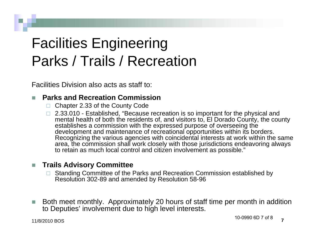## Facilities Engineering Parks / Trails / Recreation

Facilities Division also acts as staff to:

#### П **Parks and Recreation Commission**

- □ Chapter 2.33 of the County Code
- □ 2.33.010 Established, "Because recreation is so important for the physical and mental health of both the residents of, and visitors to, El Dorado County, the county establishes a commission with the expressed purpose of overseeing the development and maintenance of recreational opportunities within its borders. Recognizing the various agencies with coincidental interests at work within the same area, the commission shall work closely with those jurisdictions endeavoring always to retain as much local control and citizen involvement as possible."

#### m. **Trails Advisory Committee**

- Standing Committee of the Parks and Recreation Commission established by Resolution 302-89 and amended by Resolution 58-96
- П Both meet monthly. Approximately 20 hours of staff time per month in addition to Deputies' involvement due to high level interests.

11/8/2010 BOS